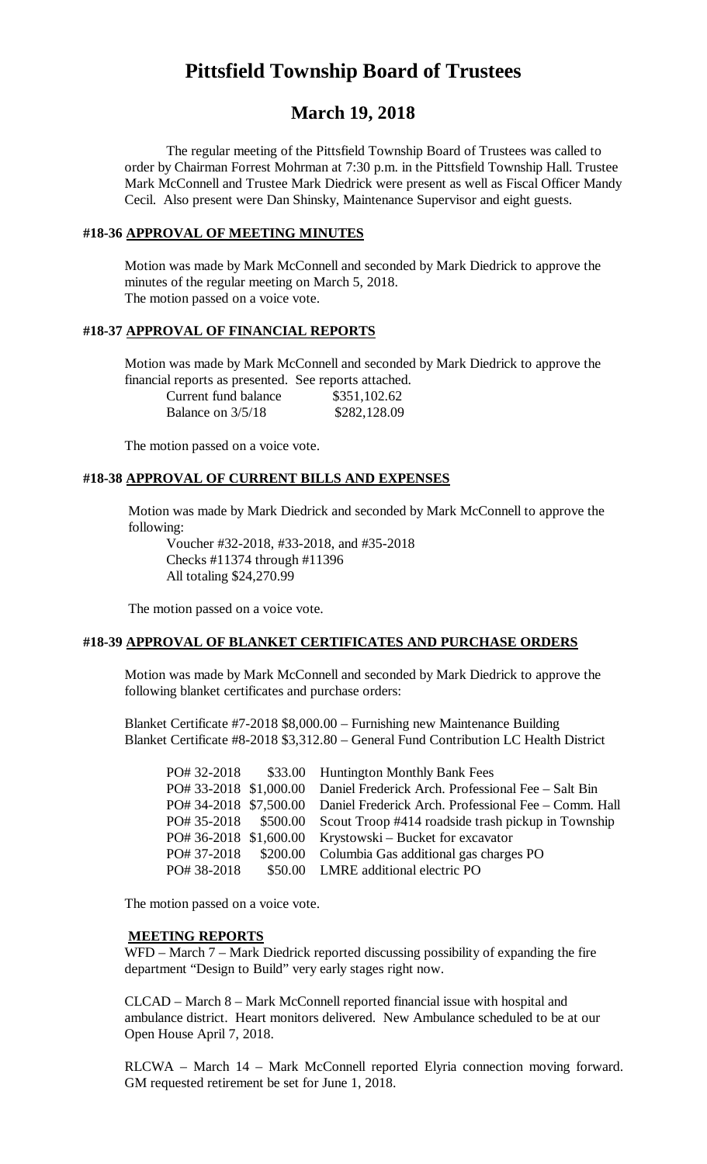# **Pittsfield Township Board of Trustees**

## **March 19, 2018**

The regular meeting of the Pittsfield Township Board of Trustees was called to order by Chairman Forrest Mohrman at 7:30 p.m. in the Pittsfield Township Hall. Trustee Mark McConnell and Trustee Mark Diedrick were present as well as Fiscal Officer Mandy Cecil. Also present were Dan Shinsky, Maintenance Supervisor and eight guests.

#### **#18-36 APPROVAL OF MEETING MINUTES**

Motion was made by Mark McConnell and seconded by Mark Diedrick to approve the minutes of the regular meeting on March 5, 2018. The motion passed on a voice vote.

## **#18-37 APPROVAL OF FINANCIAL REPORTS**

Motion was made by Mark McConnell and seconded by Mark Diedrick to approve the financial reports as presented. See reports attached.

| Current fund balance | \$351,102.62 |
|----------------------|--------------|
| Balance on 3/5/18    | \$282,128.09 |

The motion passed on a voice vote.

#### **#18-38 APPROVAL OF CURRENT BILLS AND EXPENSES**

Motion was made by Mark Diedrick and seconded by Mark McConnell to approve the following:

Voucher #32-2018, #33-2018, and #35-2018 Checks #11374 through #11396 All totaling \$24,270.99

The motion passed on a voice vote.

#### **#18-39 APPROVAL OF BLANKET CERTIFICATES AND PURCHASE ORDERS**

Motion was made by Mark McConnell and seconded by Mark Diedrick to approve the following blanket certificates and purchase orders:

Blanket Certificate #7-2018 \$8,000.00 – Furnishing new Maintenance Building Blanket Certificate #8-2018 \$3,312.80 – General Fund Contribution LC Health District

| PO# 32-2018          | \$33.00 Huntington Monthly Bank Fees                                        |
|----------------------|-----------------------------------------------------------------------------|
|                      | PO# 33-2018 \$1,000.00 Daniel Frederick Arch. Professional Fee – Salt Bin   |
|                      | PO# 34-2018 \$7,500.00 Daniel Frederick Arch. Professional Fee – Comm. Hall |
| PO# 35-2018 \$500.00 | Scout Troop #414 roadside trash pickup in Township                          |
|                      | PO# 36-2018 \$1,600.00 Krystowski – Bucket for excavator                    |
| PO# 37-2018          | \$200.00 Columbia Gas additional gas charges PO                             |
| PO# 38-2018          | \$50.00 LMRE additional electric PO                                         |

The motion passed on a voice vote.

#### **MEETING REPORTS**

WFD – March 7 – Mark Diedrick reported discussing possibility of expanding the fire department "Design to Build" very early stages right now.

CLCAD – March 8 – Mark McConnell reported financial issue with hospital and ambulance district. Heart monitors delivered. New Ambulance scheduled to be at our Open House April 7, 2018.

RLCWA – March 14 – Mark McConnell reported Elyria connection moving forward. GM requested retirement be set for June 1, 2018.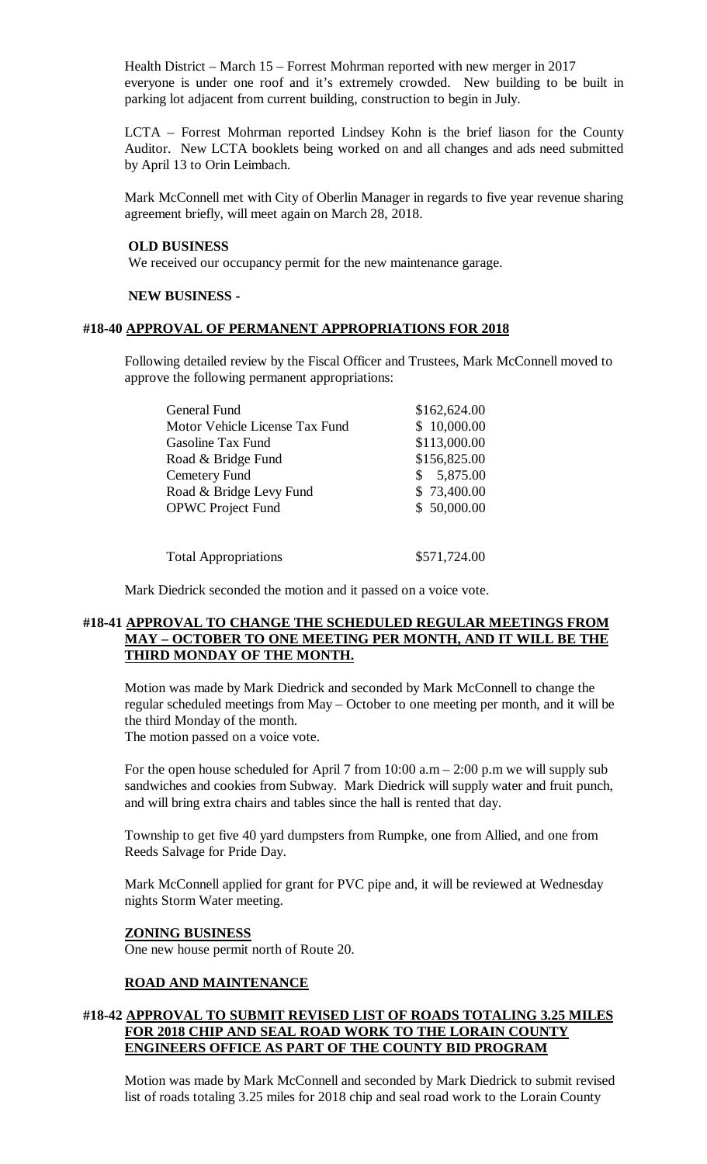Health District – March 15 – Forrest Mohrman reported with new merger in 2017 everyone is under one roof and it's extremely crowded. New building to be built in parking lot adjacent from current building, construction to begin in July.

LCTA – Forrest Mohrman reported Lindsey Kohn is the brief liason for the County Auditor. New LCTA booklets being worked on and all changes and ads need submitted by April 13 to Orin Leimbach.

Mark McConnell met with City of Oberlin Manager in regards to five year revenue sharing agreement briefly, will meet again on March 28, 2018.

#### **OLD BUSINESS**

We received our occupancy permit for the new maintenance garage.

#### **NEW BUSINESS -**

#### **#18-40 APPROVAL OF PERMANENT APPROPRIATIONS FOR 2018**

Following detailed review by the Fiscal Officer and Trustees, Mark McConnell moved to approve the following permanent appropriations:

| <b>General Fund</b>            | \$162,624.00               |
|--------------------------------|----------------------------|
| Motor Vehicle License Tax Fund | \$10,000.00                |
| Gasoline Tax Fund              | \$113,000.00               |
| Road & Bridge Fund             | \$156,825.00               |
| Cemetery Fund                  | 5,875.00<br>$\mathbb{S}^-$ |
| Road & Bridge Levy Fund        | \$73,400.00                |
| <b>OPWC Project Fund</b>       | \$50,000.00                |
|                                |                            |
|                                |                            |

Total Appropriations  $$571,724.00$ 

Mark Diedrick seconded the motion and it passed on a voice vote.

## **#18-41 APPROVAL TO CHANGE THE SCHEDULED REGULAR MEETINGS FROM MAY – OCTOBER TO ONE MEETING PER MONTH, AND IT WILL BE THE THIRD MONDAY OF THE MONTH.**

Motion was made by Mark Diedrick and seconded by Mark McConnell to change the regular scheduled meetings from May – October to one meeting per month, and it will be the third Monday of the month. The motion passed on a voice vote.

For the open house scheduled for April 7 from  $10:00$  a.m  $- 2:00$  p.m we will supply sub sandwiches and cookies from Subway. Mark Diedrick will supply water and fruit punch, and will bring extra chairs and tables since the hall is rented that day.

Township to get five 40 yard dumpsters from Rumpke, one from Allied, and one from Reeds Salvage for Pride Day.

Mark McConnell applied for grant for PVC pipe and, it will be reviewed at Wednesday nights Storm Water meeting.

## **ZONING BUSINESS**

One new house permit north of Route 20.

## **ROAD AND MAINTENANCE**

## **#18-42 APPROVAL TO SUBMIT REVISED LIST OF ROADS TOTALING 3.25 MILES FOR 2018 CHIP AND SEAL ROAD WORK TO THE LORAIN COUNTY ENGINEERS OFFICE AS PART OF THE COUNTY BID PROGRAM**

Motion was made by Mark McConnell and seconded by Mark Diedrick to submit revised list of roads totaling 3.25 miles for 2018 chip and seal road work to the Lorain County